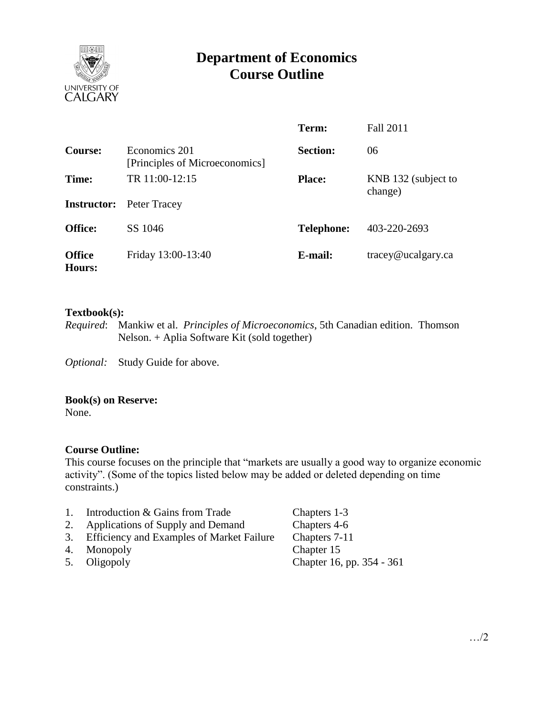

# **Department of Economics Course Outline**

|                                |                                                 | Term:             | <b>Fall 2011</b>              |
|--------------------------------|-------------------------------------------------|-------------------|-------------------------------|
| <b>Course:</b>                 | Economics 201<br>[Principles of Microeconomics] | <b>Section:</b>   | 06                            |
| Time:                          | TR 11:00-12:15                                  | <b>Place:</b>     | KNB 132 (subject to           |
| <b>Instructor:</b>             | Peter Tracey                                    |                   | change)                       |
| <b>Office:</b>                 | SS 1046                                         | <b>Telephone:</b> | 403-220-2693                  |
| <b>Office</b><br><b>Hours:</b> | Friday 13:00-13:40                              | E-mail:           | $trace\$ <i>e</i> ucalgary.ca |

### **Textbook(s):**

*Required*: Mankiw et al. *Principles of Microeconomics*, 5th Canadian edition. Thomson Nelson. + Aplia Software Kit (sold together)

*Optional:* Study Guide for above.

### **Book(s) on Reserve:**

None.

# **Course Outline:**

This course focuses on the principle that "markets are usually a good way to organize economic activity". (Some of the topics listed below may be added or deleted depending on time constraints.)

- 1. Introduction & Gains from Trade Chapters 1-3
- 2. Applications of Supply and Demand Chapters 4-6
- 3. Efficiency and Examples of Market Failure Chapters 7-11
- 
- 

4. Monopoly Chapter 15<br>5. Oligopoly Chapter 16, 5. Oligopoly Chapter 16, pp. 354 - 361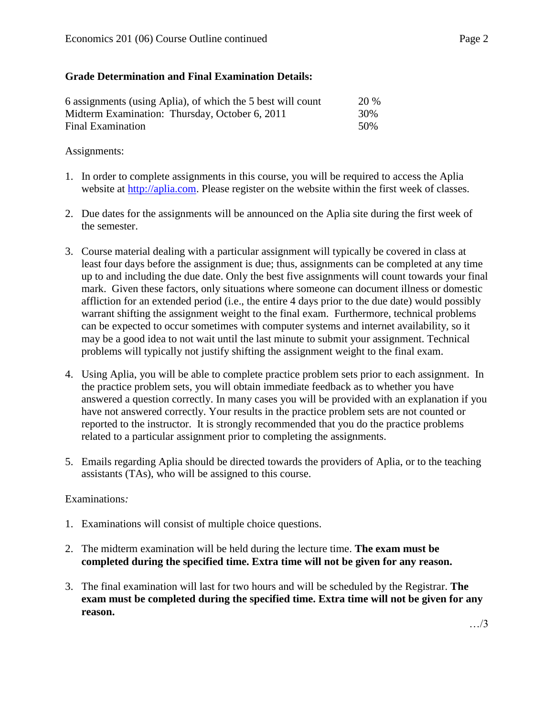# **Grade Determination and Final Examination Details:**

| 6 assignments (using Aplia), of which the 5 best will count | <b>20 %</b> |
|-------------------------------------------------------------|-------------|
| Midterm Examination: Thursday, October 6, 2011              | 30%         |
| Final Examination                                           | 50%         |

# Assignments:

- 1. In order to complete assignments in this course, you will be required to access the Aplia website at [http://aplia.com.](http://aplia.com/) Please register on the website within the first week of classes.
- 2. Due dates for the assignments will be announced on the Aplia site during the first week of the semester.
- 3. Course material dealing with a particular assignment will typically be covered in class at least four days before the assignment is due; thus, assignments can be completed at any time up to and including the due date. Only the best five assignments will count towards your final mark. Given these factors, only situations where someone can document illness or domestic affliction for an extended period (i.e., the entire 4 days prior to the due date) would possibly warrant shifting the assignment weight to the final exam. Furthermore, technical problems can be expected to occur sometimes with computer systems and internet availability, so it may be a good idea to not wait until the last minute to submit your assignment. Technical problems will typically not justify shifting the assignment weight to the final exam.
- 4. Using Aplia, you will be able to complete practice problem sets prior to each assignment. In the practice problem sets, you will obtain immediate feedback as to whether you have answered a question correctly. In many cases you will be provided with an explanation if you have not answered correctly. Your results in the practice problem sets are not counted or reported to the instructor. It is strongly recommended that you do the practice problems related to a particular assignment prior to completing the assignments.
- 5. Emails regarding Aplia should be directed towards the providers of Aplia, or to the teaching assistants (TAs), who will be assigned to this course.

# Examinations*:*

- 1. Examinations will consist of multiple choice questions.
- 2. The midterm examination will be held during the lecture time. **The exam must be completed during the specified time. Extra time will not be given for any reason.**
- 3. The final examination will last for two hours and will be scheduled by the Registrar. **The exam must be completed during the specified time. Extra time will not be given for any reason.**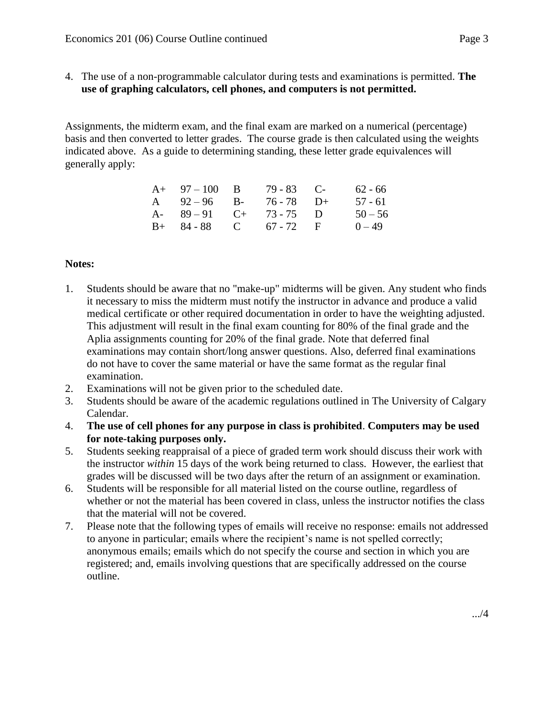4. The use of a non-programmable calculator during tests and examinations is permitted. **The use of graphing calculators, cell phones, and computers is not permitted.**

Assignments, the midterm exam, and the final exam are marked on a numerical (percentage) basis and then converted to letter grades. The course grade is then calculated using the weights indicated above. As a guide to determining standing, these letter grade equivalences will generally apply:

| $A+ 97-100 B$           | $79 - 83$ C- | $62 - 66$ |
|-------------------------|--------------|-----------|
| A $92-96$ B- $76-78$ D+ |              | 57 - 61   |
| A- $89-91$ C+ 73-75 D   |              | $50 - 56$ |
| $B+ 84-88$ C 67 - 72 F  |              | $0 - 49$  |

# **Notes:**

- 1. Students should be aware that no "make-up" midterms will be given. Any student who finds it necessary to miss the midterm must notify the instructor in advance and produce a valid medical certificate or other required documentation in order to have the weighting adjusted. This adjustment will result in the final exam counting for 80% of the final grade and the Aplia assignments counting for 20% of the final grade. Note that deferred final examinations may contain short/long answer questions. Also, deferred final examinations do not have to cover the same material or have the same format as the regular final examination.
- 2. Examinations will not be given prior to the scheduled date.
- 3. Students should be aware of the academic regulations outlined in The University of Calgary Calendar.
- 4. **The use of cell phones for any purpose in class is prohibited**. **Computers may be used for note-taking purposes only.**
- 5. Students seeking reappraisal of a piece of graded term work should discuss their work with the instructor *within* 15 days of the work being returned to class. However, the earliest that grades will be discussed will be two days after the return of an assignment or examination.
- 6. Students will be responsible for all material listed on the course outline, regardless of whether or not the material has been covered in class, unless the instructor notifies the class that the material will not be covered.
- 7. Please note that the following types of emails will receive no response: emails not addressed to anyone in particular; emails where the recipient's name is not spelled correctly; anonymous emails; emails which do not specify the course and section in which you are registered; and, emails involving questions that are specifically addressed on the course outline.